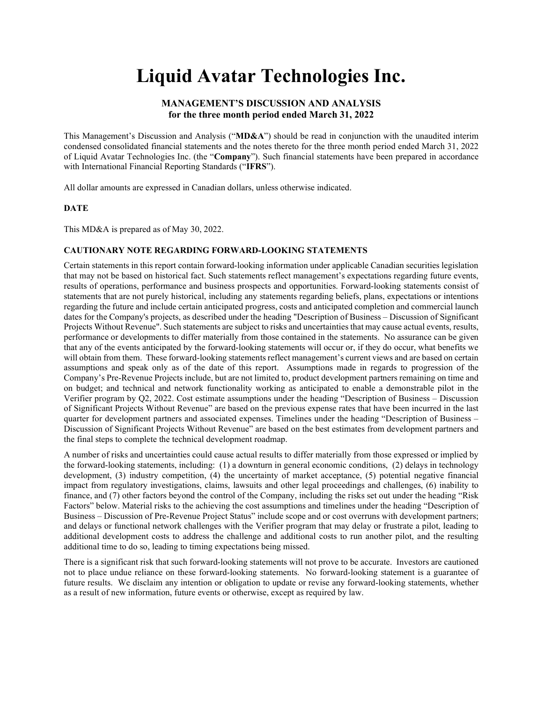# Liquid Avatar Technologies Inc.

# MANAGEMENT'S DISCUSSION AND ANALYSIS for the three month period ended March 31, 2022

This Management's Discussion and Analysis ("MD&A") should be read in conjunction with the unaudited interim condensed consolidated financial statements and the notes thereto for the three month period ended March 31, 2022 of Liquid Avatar Technologies Inc. (the "Company"). Such financial statements have been prepared in accordance with International Financial Reporting Standards ("IFRS").

All dollar amounts are expressed in Canadian dollars, unless otherwise indicated.

## **DATE**

This MD&A is prepared as of May 30, 2022.

## CAUTIONARY NOTE REGARDING FORWARD-LOOKING STATEMENTS

Certain statements in this report contain forward-looking information under applicable Canadian securities legislation that may not be based on historical fact. Such statements reflect management's expectations regarding future events, results of operations, performance and business prospects and opportunities. Forward-looking statements consist of statements that are not purely historical, including any statements regarding beliefs, plans, expectations or intentions regarding the future and include certain anticipated progress, costs and anticipated completion and commercial launch dates for the Company's projects, as described under the heading "Description of Business – Discussion of Significant Projects Without Revenue". Such statements are subject to risks and uncertainties that may cause actual events, results, performance or developments to differ materially from those contained in the statements. No assurance can be given that any of the events anticipated by the forward-looking statements will occur or, if they do occur, what benefits we will obtain from them. These forward-looking statements reflect management's current views and are based on certain assumptions and speak only as of the date of this report. Assumptions made in regards to progression of the Company's Pre-Revenue Projects include, but are not limited to, product development partners remaining on time and on budget; and technical and network functionality working as anticipated to enable a demonstrable pilot in the Verifier program by Q2, 2022. Cost estimate assumptions under the heading "Description of Business – Discussion of Significant Projects Without Revenue" are based on the previous expense rates that have been incurred in the last quarter for development partners and associated expenses. Timelines under the heading "Description of Business – Discussion of Significant Projects Without Revenue" are based on the best estimates from development partners and the final steps to complete the technical development roadmap.

A number of risks and uncertainties could cause actual results to differ materially from those expressed or implied by the forward-looking statements, including: (1) a downturn in general economic conditions, (2) delays in technology development, (3) industry competition, (4) the uncertainty of market acceptance, (5) potential negative financial impact from regulatory investigations, claims, lawsuits and other legal proceedings and challenges, (6) inability to finance, and (7) other factors beyond the control of the Company, including the risks set out under the heading "Risk Factors" below. Material risks to the achieving the cost assumptions and timelines under the heading "Description of Business – Discussion of Pre-Revenue Project Status" include scope and or cost overruns with development partners; and delays or functional network challenges with the Verifier program that may delay or frustrate a pilot, leading to additional development costs to address the challenge and additional costs to run another pilot, and the resulting additional time to do so, leading to timing expectations being missed.

There is a significant risk that such forward-looking statements will not prove to be accurate. Investors are cautioned not to place undue reliance on these forward-looking statements. No forward-looking statement is a guarantee of future results. We disclaim any intention or obligation to update or revise any forward-looking statements, whether as a result of new information, future events or otherwise, except as required by law.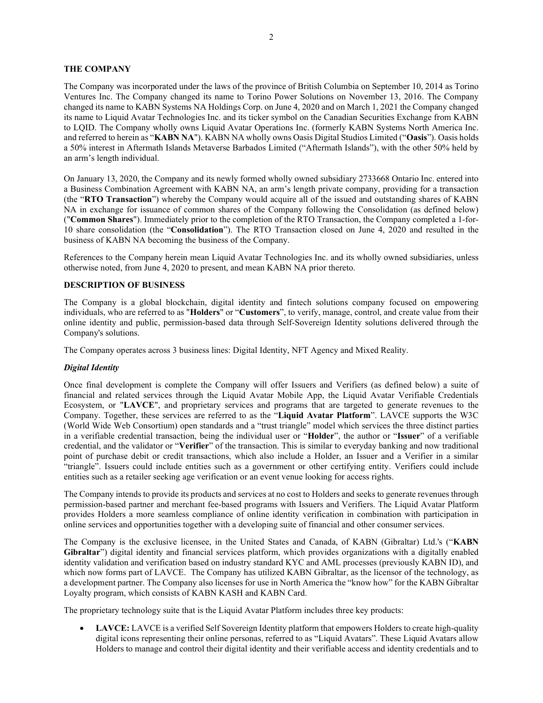# THE COMPANY

The Company was incorporated under the laws of the province of British Columbia on September 10, 2014 as Torino Ventures Inc. The Company changed its name to Torino Power Solutions on November 13, 2016. The Company changed its name to KABN Systems NA Holdings Corp. on June 4, 2020 and on March 1, 2021 the Company changed its name to Liquid Avatar Technologies Inc. and its ticker symbol on the Canadian Securities Exchange from KABN to LQID. The Company wholly owns Liquid Avatar Operations Inc. (formerly KABN Systems North America Inc. and referred to herein as "KABN NA"). KABN NA wholly owns Oasis Digital Studios Limited ("Oasis"). Oasis holds a 50% interest in Aftermath Islands Metaverse Barbados Limited ("Aftermath Islands"), with the other 50% held by an arm's length individual.

On January 13, 2020, the Company and its newly formed wholly owned subsidiary 2733668 Ontario Inc. entered into a Business Combination Agreement with KABN NA, an arm's length private company, providing for a transaction (the "RTO Transaction") whereby the Company would acquire all of the issued and outstanding shares of KABN NA in exchange for issuance of common shares of the Company following the Consolidation (as defined below) ("Common Shares"). Immediately prior to the completion of the RTO Transaction, the Company completed a 1-for-10 share consolidation (the "Consolidation"). The RTO Transaction closed on June 4, 2020 and resulted in the business of KABN NA becoming the business of the Company.

References to the Company herein mean Liquid Avatar Technologies Inc. and its wholly owned subsidiaries, unless otherwise noted, from June 4, 2020 to present, and mean KABN NA prior thereto.

# DESCRIPTION OF BUSINESS

The Company is a global blockchain, digital identity and fintech solutions company focused on empowering individuals, who are referred to as "Holders" or "Customers", to verify, manage, control, and create value from their online identity and public, permission-based data through Self-Sovereign Identity solutions delivered through the Company's solutions.

The Company operates across 3 business lines: Digital Identity, NFT Agency and Mixed Reality.

## Digital Identity

Once final development is complete the Company will offer Issuers and Verifiers (as defined below) a suite of financial and related services through the Liquid Avatar Mobile App, the Liquid Avatar Verifiable Credentials Ecosystem, or "LAVCE", and proprietary services and programs that are targeted to generate revenues to the Company. Together, these services are referred to as the "Liquid Avatar Platform". LAVCE supports the W3C (World Wide Web Consortium) open standards and a "trust triangle" model which services the three distinct parties in a verifiable credential transaction, being the individual user or "Holder", the author or "Issuer" of a verifiable credential, and the validator or "Verifier" of the transaction. This is similar to everyday banking and now traditional point of purchase debit or credit transactions, which also include a Holder, an Issuer and a Verifier in a similar "triangle". Issuers could include entities such as a government or other certifying entity. Verifiers could include entities such as a retailer seeking age verification or an event venue looking for access rights.

The Company intends to provide its products and services at no cost to Holders and seeks to generate revenues through permission-based partner and merchant fee-based programs with Issuers and Verifiers. The Liquid Avatar Platform provides Holders a more seamless compliance of online identity verification in combination with participation in online services and opportunities together with a developing suite of financial and other consumer services.

The Company is the exclusive licensee, in the United States and Canada, of KABN (Gibraltar) Ltd.'s ("KABN Gibraltar") digital identity and financial services platform, which provides organizations with a digitally enabled identity validation and verification based on industry standard KYC and AML processes (previously KABN ID), and which now forms part of LAVCE. The Company has utilized KABN Gibraltar, as the licensor of the technology, as a development partner. The Company also licenses for use in North America the "know how" for the KABN Gibraltar Loyalty program, which consists of KABN KASH and KABN Card.

The proprietary technology suite that is the Liquid Avatar Platform includes three key products:

 LAVCE: LAVCE is a verified Self Sovereign Identity platform that empowers Holders to create high-quality digital icons representing their online personas, referred to as "Liquid Avatars". These Liquid Avatars allow Holders to manage and control their digital identity and their verifiable access and identity credentials and to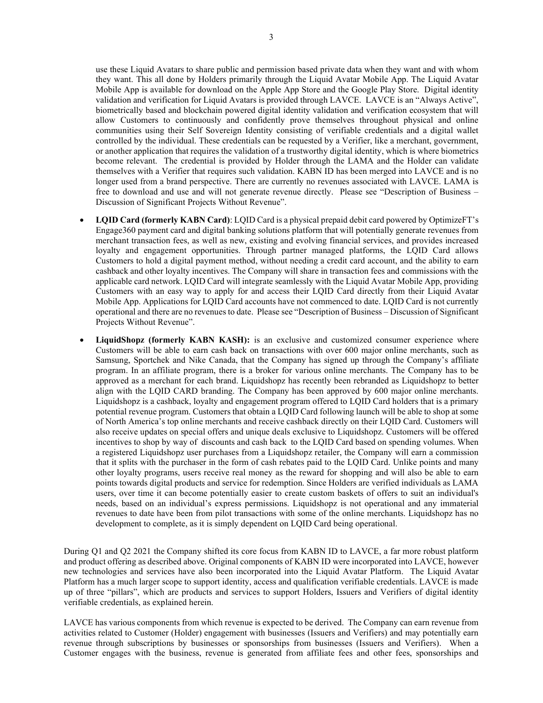use these Liquid Avatars to share public and permission based private data when they want and with whom they want. This all done by Holders primarily through the Liquid Avatar Mobile App. The Liquid Avatar Mobile App is available for download on the Apple App Store and the Google Play Store. Digital identity validation and verification for Liquid Avatars is provided through LAVCE. LAVCE is an "Always Active", biometrically based and blockchain powered digital identity validation and verification ecosystem that will allow Customers to continuously and confidently prove themselves throughout physical and online communities using their Self Sovereign Identity consisting of verifiable credentials and a digital wallet controlled by the individual. These credentials can be requested by a Verifier, like a merchant, government, or another application that requires the validation of a trustworthy digital identity, which is where biometrics become relevant. The credential is provided by Holder through the LAMA and the Holder can validate themselves with a Verifier that requires such validation. KABN ID has been merged into LAVCE and is no longer used from a brand perspective. There are currently no revenues associated with LAVCE. LAMA is free to download and use and will not generate revenue directly. Please see "Description of Business – Discussion of Significant Projects Without Revenue".

- LQID Card (formerly KABN Card): LQID Card is a physical prepaid debit card powered by OptimizeFT's Engage360 payment card and digital banking solutions platform that will potentially generate revenues from merchant transaction fees, as well as new, existing and evolving financial services, and provides increased loyalty and engagement opportunities. Through partner managed platforms, the LQID Card allows Customers to hold a digital payment method, without needing a credit card account, and the ability to earn cashback and other loyalty incentives. The Company will share in transaction fees and commissions with the applicable card network. LQID Card will integrate seamlessly with the Liquid Avatar Mobile App, providing Customers with an easy way to apply for and access their LQID Card directly from their Liquid Avatar Mobile App. Applications for LQID Card accounts have not commenced to date. LQID Card is not currently operational and there are no revenues to date. Please see "Description of Business – Discussion of Significant Projects Without Revenue".
- LiquidShopz (formerly KABN KASH): is an exclusive and customized consumer experience where Customers will be able to earn cash back on transactions with over 600 major online merchants, such as Samsung, Sportchek and Nike Canada, that the Company has signed up through the Company's affiliate program. In an affiliate program, there is a broker for various online merchants. The Company has to be approved as a merchant for each brand. Liquidshopz has recently been rebranded as Liquidshopz to better align with the LQID CARD branding. The Company has been approved by 600 major online merchants. Liquidshopz is a cashback, loyalty and engagement program offered to LQID Card holders that is a primary potential revenue program. Customers that obtain a LQID Card following launch will be able to shop at some of North America's top online merchants and receive cashback directly on their LQID Card. Customers will also receive updates on special offers and unique deals exclusive to Liquidshopz. Customers will be offered incentives to shop by way of discounts and cash back to the LQID Card based on spending volumes. When a registered Liquidshopz user purchases from a Liquidshopz retailer, the Company will earn a commission that it splits with the purchaser in the form of cash rebates paid to the LQID Card. Unlike points and many other loyalty programs, users receive real money as the reward for shopping and will also be able to earn points towards digital products and service for redemption. Since Holders are verified individuals as LAMA users, over time it can become potentially easier to create custom baskets of offers to suit an individual's needs, based on an individual's express permissions. Liquidshopz is not operational and any immaterial revenues to date have been from pilot transactions with some of the online merchants. Liquidshopz has no development to complete, as it is simply dependent on LQID Card being operational.

During Q1 and Q2 2021 the Company shifted its core focus from KABN ID to LAVCE, a far more robust platform and product offering as described above. Original components of KABN ID were incorporated into LAVCE, however new technologies and services have also been incorporated into the Liquid Avatar Platform. The Liquid Avatar Platform has a much larger scope to support identity, access and qualification verifiable credentials. LAVCE is made up of three "pillars", which are products and services to support Holders, Issuers and Verifiers of digital identity verifiable credentials, as explained herein.

LAVCE has various components from which revenue is expected to be derived. The Company can earn revenue from activities related to Customer (Holder) engagement with businesses (Issuers and Verifiers) and may potentially earn revenue through subscriptions by businesses or sponsorships from businesses (Issuers and Verifiers). When a Customer engages with the business, revenue is generated from affiliate fees and other fees, sponsorships and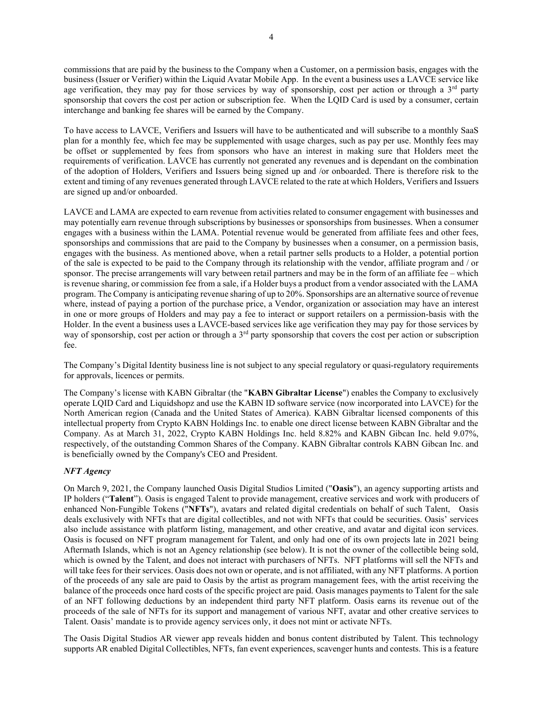commissions that are paid by the business to the Company when a Customer, on a permission basis, engages with the business (Issuer or Verifier) within the Liquid Avatar Mobile App. In the event a business uses a LAVCE service like age verification, they may pay for those services by way of sponsorship, cost per action or through a 3<sup>rd</sup> party sponsorship that covers the cost per action or subscription fee. When the LQID Card is used by a consumer, certain interchange and banking fee shares will be earned by the Company.

To have access to LAVCE, Verifiers and Issuers will have to be authenticated and will subscribe to a monthly SaaS plan for a monthly fee, which fee may be supplemented with usage charges, such as pay per use. Monthly fees may be offset or supplemented by fees from sponsors who have an interest in making sure that Holders meet the requirements of verification. LAVCE has currently not generated any revenues and is dependant on the combination of the adoption of Holders, Verifiers and Issuers being signed up and /or onboarded. There is therefore risk to the extent and timing of any revenues generated through LAVCE related to the rate at which Holders, Verifiers and Issuers are signed up and/or onboarded.

LAVCE and LAMA are expected to earn revenue from activities related to consumer engagement with businesses and may potentially earn revenue through subscriptions by businesses or sponsorships from businesses. When a consumer engages with a business within the LAMA. Potential revenue would be generated from affiliate fees and other fees, sponsorships and commissions that are paid to the Company by businesses when a consumer, on a permission basis, engages with the business. As mentioned above, when a retail partner sells products to a Holder, a potential portion of the sale is expected to be paid to the Company through its relationship with the vendor, affiliate program and / or sponsor. The precise arrangements will vary between retail partners and may be in the form of an affiliate fee – which is revenue sharing, or commission fee from a sale, if a Holder buys a product from a vendor associated with the LAMA program. The Company is anticipating revenue sharing of up to 20%. Sponsorships are an alternative source of revenue where, instead of paying a portion of the purchase price, a Vendor, organization or association may have an interest in one or more groups of Holders and may pay a fee to interact or support retailers on a permission-basis with the Holder. In the event a business uses a LAVCE-based services like age verification they may pay for those services by way of sponsorship, cost per action or through a  $3<sup>rd</sup>$  party sponsorship that covers the cost per action or subscription fee.

The Company's Digital Identity business line is not subject to any special regulatory or quasi-regulatory requirements for approvals, licences or permits.

The Company's license with KABN Gibraltar (the "KABN Gibraltar License") enables the Company to exclusively operate LQID Card and Liquidshopz and use the KABN ID software service (now incorporated into LAVCE) for the North American region (Canada and the United States of America). KABN Gibraltar licensed components of this intellectual property from Crypto KABN Holdings Inc. to enable one direct license between KABN Gibraltar and the Company. As at March 31, 2022, Crypto KABN Holdings Inc. held 8.82% and KABN Gibcan Inc. held 9.07%, respectively, of the outstanding Common Shares of the Company. KABN Gibraltar controls KABN Gibcan Inc. and is beneficially owned by the Company's CEO and President.

# NFT Agency

On March 9, 2021, the Company launched Oasis Digital Studios Limited ("Oasis"), an agency supporting artists and IP holders ("Talent"). Oasis is engaged Talent to provide management, creative services and work with producers of enhanced Non-Fungible Tokens ("NFTs"), avatars and related digital credentials on behalf of such Talent, Oasis deals exclusively with NFTs that are digital collectibles, and not with NFTs that could be securities. Oasis' services also include assistance with platform listing, management, and other creative, and avatar and digital icon services. Oasis is focused on NFT program management for Talent, and only had one of its own projects late in 2021 being Aftermath Islands, which is not an Agency relationship (see below). It is not the owner of the collectible being sold, which is owned by the Talent, and does not interact with purchasers of NFTs. NFT platforms will sell the NFTs and will take fees for their services. Oasis does not own or operate, and is not affiliated, with any NFT platforms. A portion of the proceeds of any sale are paid to Oasis by the artist as program management fees, with the artist receiving the balance of the proceeds once hard costs of the specific project are paid. Oasis manages payments to Talent for the sale of an NFT following deductions by an independent third party NFT platform. Oasis earns its revenue out of the proceeds of the sale of NFTs for its support and management of various NFT, avatar and other creative services to Talent. Oasis' mandate is to provide agency services only, it does not mint or activate NFTs.

The Oasis Digital Studios AR viewer app reveals hidden and bonus content distributed by Talent. This technology supports AR enabled Digital Collectibles, NFTs, fan event experiences, scavenger hunts and contests. This is a feature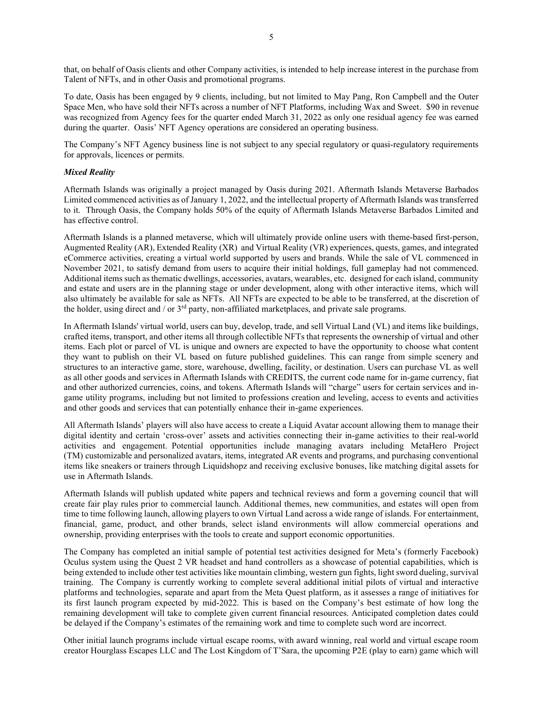that, on behalf of Oasis clients and other Company activities, is intended to help increase interest in the purchase from Talent of NFTs, and in other Oasis and promotional programs.

To date, Oasis has been engaged by 9 clients, including, but not limited to May Pang, Ron Campbell and the Outer Space Men, who have sold their NFTs across a number of NFT Platforms, including Wax and Sweet. \$90 in revenue was recognized from Agency fees for the quarter ended March 31, 2022 as only one residual agency fee was earned during the quarter. Oasis' NFT Agency operations are considered an operating business.

The Company's NFT Agency business line is not subject to any special regulatory or quasi-regulatory requirements for approvals, licences or permits.

## Mixed Reality

Aftermath Islands was originally a project managed by Oasis during 2021. Aftermath Islands Metaverse Barbados Limited commenced activities as of January 1, 2022, and the intellectual property of Aftermath Islands was transferred to it. Through Oasis, the Company holds 50% of the equity of Aftermath Islands Metaverse Barbados Limited and has effective control.

Aftermath Islands is a planned metaverse, which will ultimately provide online users with theme-based first-person, Augmented Reality (AR), Extended Reality (XR) and Virtual Reality (VR) experiences, quests, games, and integrated eCommerce activities, creating a virtual world supported by users and brands. While the sale of VL commenced in November 2021, to satisfy demand from users to acquire their initial holdings, full gameplay had not commenced. Additional items such as thematic dwellings, accessories, avatars, wearables, etc. designed for each island, community and estate and users are in the planning stage or under development, along with other interactive items, which will also ultimately be available for sale as NFTs. All NFTs are expected to be able to be transferred, at the discretion of the holder, using direct and / or  $3<sup>rd</sup>$  party, non-affiliated marketplaces, and private sale programs.

In Aftermath Islands' virtual world, users can buy, develop, trade, and sell Virtual Land (VL) and items like buildings, crafted items, transport, and other items all through collectible NFTs that represents the ownership of virtual and other items. Each plot or parcel of VL is unique and owners are expected to have the opportunity to choose what content they want to publish on their VL based on future published guidelines. This can range from simple scenery and structures to an interactive game, store, warehouse, dwelling, facility, or destination. Users can purchase VL as well as all other goods and services in Aftermath Islands with CREDITS, the current code name for in-game currency, fiat and other authorized currencies, coins, and tokens. Aftermath Islands will "charge" users for certain services and ingame utility programs, including but not limited to professions creation and leveling, access to events and activities and other goods and services that can potentially enhance their in-game experiences.

All Aftermath Islands' players will also have access to create a Liquid Avatar account allowing them to manage their digital identity and certain 'cross-over' assets and activities connecting their in-game activities to their real-world activities and engagement. Potential opportunities include managing avatars including MetaHero Project (TM) customizable and personalized avatars, items, integrated AR events and programs, and purchasing conventional items like sneakers or trainers through Liquidshopz and receiving exclusive bonuses, like matching digital assets for use in Aftermath Islands.

Aftermath Islands will publish updated white papers and technical reviews and form a governing council that will create fair play rules prior to commercial launch. Additional themes, new communities, and estates will open from time to time following launch, allowing players to own Virtual Land across a wide range of islands. For entertainment, financial, game, product, and other brands, select island environments will allow commercial operations and ownership, providing enterprises with the tools to create and support economic opportunities.

The Company has completed an initial sample of potential test activities designed for Meta's (formerly Facebook) Oculus system using the Quest 2 VR headset and hand controllers as a showcase of potential capabilities, which is being extended to include other test activities like mountain climbing, western gun fights, light sword dueling, survival training. The Company is currently working to complete several additional initial pilots of virtual and interactive platforms and technologies, separate and apart from the Meta Quest platform, as it assesses a range of initiatives for its first launch program expected by mid-2022. This is based on the Company's best estimate of how long the remaining development will take to complete given current financial resources. Anticipated completion dates could be delayed if the Company's estimates of the remaining work and time to complete such word are incorrect.

Other initial launch programs include virtual escape rooms, with award winning, real world and virtual escape room creator Hourglass Escapes LLC and The Lost Kingdom of T'Sara, the upcoming P2E (play to earn) game which will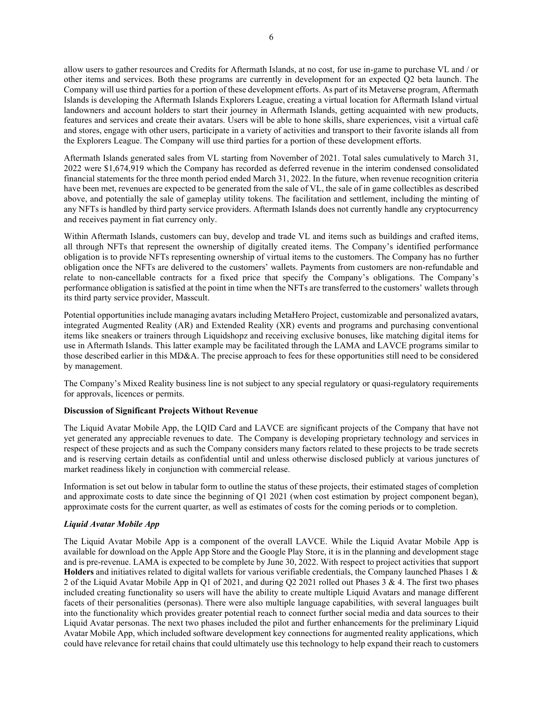allow users to gather resources and Credits for Aftermath Islands, at no cost, for use in-game to purchase VL and / or other items and services. Both these programs are currently in development for an expected Q2 beta launch. The Company will use third parties for a portion of these development efforts. As part of its Metaverse program, Aftermath Islands is developing the Aftermath Islands Explorers League, creating a virtual location for Aftermath Island virtual landowners and account holders to start their journey in Aftermath Islands, getting acquainted with new products, features and services and create their avatars. Users will be able to hone skills, share experiences, visit a virtual café and stores, engage with other users, participate in a variety of activities and transport to their favorite islands all from the Explorers League. The Company will use third parties for a portion of these development efforts.

Aftermath Islands generated sales from VL starting from November of 2021. Total sales cumulatively to March 31, 2022 were \$1,674,919 which the Company has recorded as deferred revenue in the interim condensed consolidated financial statements for the three month period ended March 31, 2022. In the future, when revenue recognition criteria have been met, revenues are expected to be generated from the sale of VL, the sale of in game collectibles as described above, and potentially the sale of gameplay utility tokens. The facilitation and settlement, including the minting of any NFTs is handled by third party service providers. Aftermath Islands does not currently handle any cryptocurrency and receives payment in fiat currency only.

Within Aftermath Islands, customers can buy, develop and trade VL and items such as buildings and crafted items, all through NFTs that represent the ownership of digitally created items. The Company's identified performance obligation is to provide NFTs representing ownership of virtual items to the customers. The Company has no further obligation once the NFTs are delivered to the customers' wallets. Payments from customers are non-refundable and relate to non-cancellable contracts for a fixed price that specify the Company's obligations. The Company's performance obligation is satisfied at the point in time when the NFTs are transferred to the customers' wallets through its third party service provider, Masscult.

Potential opportunities include managing avatars including MetaHero Project, customizable and personalized avatars, integrated Augmented Reality (AR) and Extended Reality (XR) events and programs and purchasing conventional items like sneakers or trainers through Liquidshopz and receiving exclusive bonuses, like matching digital items for use in Aftermath Islands. This latter example may be facilitated through the LAMA and LAVCE programs similar to those described earlier in this MD&A. The precise approach to fees for these opportunities still need to be considered by management.

The Company's Mixed Reality business line is not subject to any special regulatory or quasi-regulatory requirements for approvals, licences or permits.

## Discussion of Significant Projects Without Revenue

The Liquid Avatar Mobile App, the LQID Card and LAVCE are significant projects of the Company that have not yet generated any appreciable revenues to date. The Company is developing proprietary technology and services in respect of these projects and as such the Company considers many factors related to these projects to be trade secrets and is reserving certain details as confidential until and unless otherwise disclosed publicly at various junctures of market readiness likely in conjunction with commercial release.

Information is set out below in tabular form to outline the status of these projects, their estimated stages of completion and approximate costs to date since the beginning of Q1 2021 (when cost estimation by project component began), approximate costs for the current quarter, as well as estimates of costs for the coming periods or to completion.

# Liquid Avatar Mobile App

The Liquid Avatar Mobile App is a component of the overall LAVCE. While the Liquid Avatar Mobile App is available for download on the Apple App Store and the Google Play Store, it is in the planning and development stage and is pre-revenue. LAMA is expected to be complete by June 30, 2022. With respect to project activities that support Holders and initiatives related to digital wallets for various verifiable credentials, the Company launched Phases  $1 \&$ 2 of the Liquid Avatar Mobile App in Q1 of 2021, and during Q2 2021 rolled out Phases 3 & 4. The first two phases included creating functionality so users will have the ability to create multiple Liquid Avatars and manage different facets of their personalities (personas). There were also multiple language capabilities, with several languages built into the functionality which provides greater potential reach to connect further social media and data sources to their Liquid Avatar personas. The next two phases included the pilot and further enhancements for the preliminary Liquid Avatar Mobile App, which included software development key connections for augmented reality applications, which could have relevance for retail chains that could ultimately use this technology to help expand their reach to customers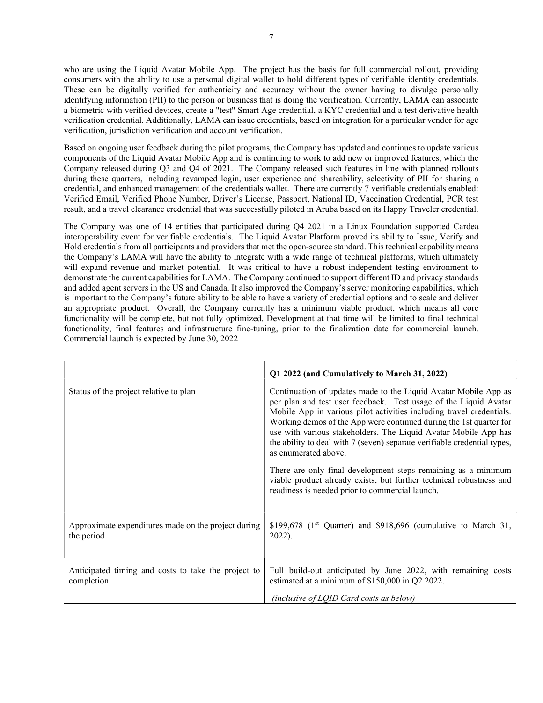who are using the Liquid Avatar Mobile App. The project has the basis for full commercial rollout, providing consumers with the ability to use a personal digital wallet to hold different types of verifiable identity credentials. These can be digitally verified for authenticity and accuracy without the owner having to divulge personally identifying information (PII) to the person or business that is doing the verification. Currently, LAMA can associate a biometric with verified devices, create a "test" Smart Age credential, a KYC credential and a test derivative health verification credential. Additionally, LAMA can issue credentials, based on integration for a particular vendor for age verification, jurisdiction verification and account verification.

Based on ongoing user feedback during the pilot programs, the Company has updated and continues to update various components of the Liquid Avatar Mobile App and is continuing to work to add new or improved features, which the Company released during Q3 and Q4 of 2021. The Company released such features in line with planned rollouts during these quarters, including revamped login, user experience and shareability, selectivity of PII for sharing a credential, and enhanced management of the credentials wallet. There are currently 7 verifiable credentials enabled: Verified Email, Verified Phone Number, Driver's License, Passport, National ID, Vaccination Credential, PCR test result, and a travel clearance credential that was successfully piloted in Aruba based on its Happy Traveler credential.

The Company was one of 14 entities that participated during Q4 2021 in a Linux Foundation supported Cardea interoperability event for verifiable credentials. The Liquid Avatar Platform proved its ability to Issue, Verify and Hold credentials from all participants and providers that met the open-source standard. This technical capability means the Company's LAMA will have the ability to integrate with a wide range of technical platforms, which ultimately will expand revenue and market potential. It was critical to have a robust independent testing environment to demonstrate the current capabilities for LAMA. The Company continued to support different ID and privacy standards and added agent servers in the US and Canada. It also improved the Company's server monitoring capabilities, which is important to the Company's future ability to be able to have a variety of credential options and to scale and deliver an appropriate product. Overall, the Company currently has a minimum viable product, which means all core functionality will be complete, but not fully optimized. Development at that time will be limited to final technical functionality, final features and infrastructure fine-tuning, prior to the finalization date for commercial launch. Commercial launch is expected by June 30, 2022

|                                                                   | Q1 2022 (and Cumulatively to March 31, 2022)                                                                                                                                                                                                                                                                                                                                                                                                             |  |  |  |  |
|-------------------------------------------------------------------|----------------------------------------------------------------------------------------------------------------------------------------------------------------------------------------------------------------------------------------------------------------------------------------------------------------------------------------------------------------------------------------------------------------------------------------------------------|--|--|--|--|
| Status of the project relative to plan                            | Continuation of updates made to the Liquid Avatar Mobile App as<br>per plan and test user feedback. Test usage of the Liquid Avatar<br>Mobile App in various pilot activities including travel credentials.<br>Working demos of the App were continued during the 1st quarter for<br>use with various stakeholders. The Liquid Avatar Mobile App has<br>the ability to deal with 7 (seven) separate verifiable credential types,<br>as enumerated above. |  |  |  |  |
|                                                                   | There are only final development steps remaining as a minimum<br>viable product already exists, but further technical robustness and<br>readiness is needed prior to commercial launch.                                                                                                                                                                                                                                                                  |  |  |  |  |
| Approximate expenditures made on the project during<br>the period | \$199,678 ( $1st$ Quarter) and \$918,696 (cumulative to March 31,<br>2022).                                                                                                                                                                                                                                                                                                                                                                              |  |  |  |  |
| Anticipated timing and costs to take the project to<br>completion | Full build-out anticipated by June 2022, with remaining costs<br>estimated at a minimum of \$150,000 in Q2 2022.<br>(inclusive of LQID Card costs as below)                                                                                                                                                                                                                                                                                              |  |  |  |  |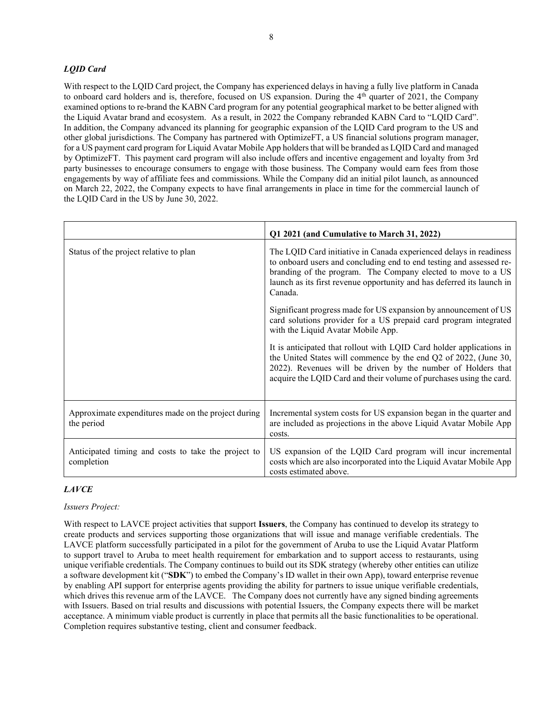# LQID Card

With respect to the LQID Card project, the Company has experienced delays in having a fully live platform in Canada to onboard card holders and is, therefore, focused on US expansion. During the  $4<sup>th</sup>$  quarter of 2021, the Company examined options to re-brand the KABN Card program for any potential geographical market to be better aligned with the Liquid Avatar brand and ecosystem. As a result, in 2022 the Company rebranded KABN Card to "LQID Card". In addition, the Company advanced its planning for geographic expansion of the LQID Card program to the US and other global jurisdictions. The Company has partnered with OptimizeFT, a US financial solutions program manager, for a US payment card program for Liquid Avatar Mobile App holders that will be branded as LQID Card and managed by OptimizeFT. This payment card program will also include offers and incentive engagement and loyalty from 3rd party businesses to encourage consumers to engage with those business. The Company would earn fees from those engagements by way of affiliate fees and commissions. While the Company did an initial pilot launch, as announced on March 22, 2022, the Company expects to have final arrangements in place in time for the commercial launch of the LQID Card in the US by June 30, 2022.

|                                                                   | Q1 2021 (and Cumulative to March 31, 2022)                                                                                                                                                                                                                                                     |  |  |  |  |
|-------------------------------------------------------------------|------------------------------------------------------------------------------------------------------------------------------------------------------------------------------------------------------------------------------------------------------------------------------------------------|--|--|--|--|
| Status of the project relative to plan                            | The LQID Card initiative in Canada experienced delays in readiness<br>to onboard users and concluding end to end testing and assessed re-<br>branding of the program. The Company elected to move to a US<br>launch as its first revenue opportunity and has deferred its launch in<br>Canada. |  |  |  |  |
|                                                                   | Significant progress made for US expansion by announcement of US<br>card solutions provider for a US prepaid card program integrated<br>with the Liquid Avatar Mobile App.                                                                                                                     |  |  |  |  |
|                                                                   | It is anticipated that rollout with LQID Card holder applications in<br>the United States will commence by the end Q2 of 2022, (June 30,<br>2022). Revenues will be driven by the number of Holders that<br>acquire the LQID Card and their volume of purchases using the card.                |  |  |  |  |
| Approximate expenditures made on the project during<br>the period | Incremental system costs for US expansion began in the quarter and<br>are included as projections in the above Liquid Avatar Mobile App<br>costs.                                                                                                                                              |  |  |  |  |
| Anticipated timing and costs to take the project to<br>completion | US expansion of the LQID Card program will incur incremental<br>costs which are also incorporated into the Liquid Avatar Mobile App<br>costs estimated above.                                                                                                                                  |  |  |  |  |

# LAVCE

# Issuers Project:

With respect to LAVCE project activities that support **Issuers**, the Company has continued to develop its strategy to create products and services supporting those organizations that will issue and manage verifiable credentials. The LAVCE platform successfully participated in a pilot for the government of Aruba to use the Liquid Avatar Platform to support travel to Aruba to meet health requirement for embarkation and to support access to restaurants, using unique verifiable credentials. The Company continues to build out its SDK strategy (whereby other entities can utilize a software development kit ("SDK") to embed the Company's ID wallet in their own App), toward enterprise revenue by enabling API support for enterprise agents providing the ability for partners to issue unique verifiable credentials, which drives this revenue arm of the LAVCE. The Company does not currently have any signed binding agreements with Issuers. Based on trial results and discussions with potential Issuers, the Company expects there will be market acceptance. A minimum viable product is currently in place that permits all the basic functionalities to be operational. Completion requires substantive testing, client and consumer feedback.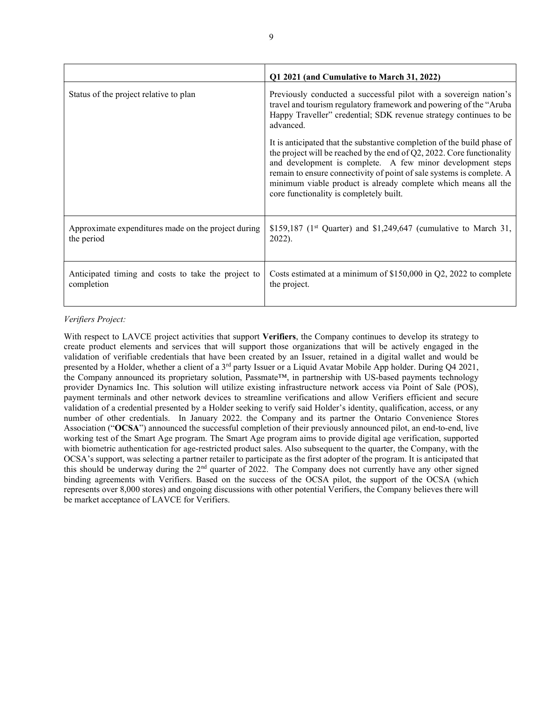|                                                                   | Q1 2021 (and Cumulative to March 31, 2022)                                                                                                                                                                                                                                                                                                                                                               |  |  |  |  |  |
|-------------------------------------------------------------------|----------------------------------------------------------------------------------------------------------------------------------------------------------------------------------------------------------------------------------------------------------------------------------------------------------------------------------------------------------------------------------------------------------|--|--|--|--|--|
| Status of the project relative to plan                            | Previously conducted a successful pilot with a sovereign nation's<br>travel and tourism regulatory framework and powering of the "Aruba<br>Happy Traveller" credential; SDK revenue strategy continues to be<br>advanced.                                                                                                                                                                                |  |  |  |  |  |
|                                                                   | It is anticipated that the substantive completion of the build phase of<br>the project will be reached by the end of $Q2$ , 2022. Core functionality<br>and development is complete. A few minor development steps<br>remain to ensure connectivity of point of sale systems is complete. A<br>minimum viable product is already complete which means all the<br>core functionality is completely built. |  |  |  |  |  |
| Approximate expenditures made on the project during<br>the period | \$159,187 (1 <sup>st</sup> Quarter) and \$1,249,647 (cumulative to March 31,<br>2022).                                                                                                                                                                                                                                                                                                                   |  |  |  |  |  |
| Anticipated timing and costs to take the project to<br>completion | Costs estimated at a minimum of $$150,000$ in Q2, 2022 to complete<br>the project.                                                                                                                                                                                                                                                                                                                       |  |  |  |  |  |

# Verifiers Project:

With respect to LAVCE project activities that support Verifiers, the Company continues to develop its strategy to create product elements and services that will support those organizations that will be actively engaged in the validation of verifiable credentials that have been created by an Issuer, retained in a digital wallet and would be presented by a Holder, whether a client of a 3<sup>rd</sup> party Issuer or a Liquid Avatar Mobile App holder. During Q4 2021, the Company announced its proprietary solution, Passmate™, in partnership with US-based payments technology provider Dynamics Inc. This solution will utilize existing infrastructure network access via Point of Sale (POS), payment terminals and other network devices to streamline verifications and allow Verifiers efficient and secure validation of a credential presented by a Holder seeking to verify said Holder's identity, qualification, access, or any number of other credentials. In January 2022. the Company and its partner the Ontario Convenience Stores Association ("OCSA") announced the successful completion of their previously announced pilot, an end-to-end, live working test of the Smart Age program. The Smart Age program aims to provide digital age verification, supported with biometric authentication for age-restricted product sales. Also subsequent to the quarter, the Company, with the OCSA's support, was selecting a partner retailer to participate as the first adopter of the program. It is anticipated that this should be underway during the 2nd quarter of 2022. The Company does not currently have any other signed binding agreements with Verifiers. Based on the success of the OCSA pilot, the support of the OCSA (which represents over 8,000 stores) and ongoing discussions with other potential Verifiers, the Company believes there will be market acceptance of LAVCE for Verifiers.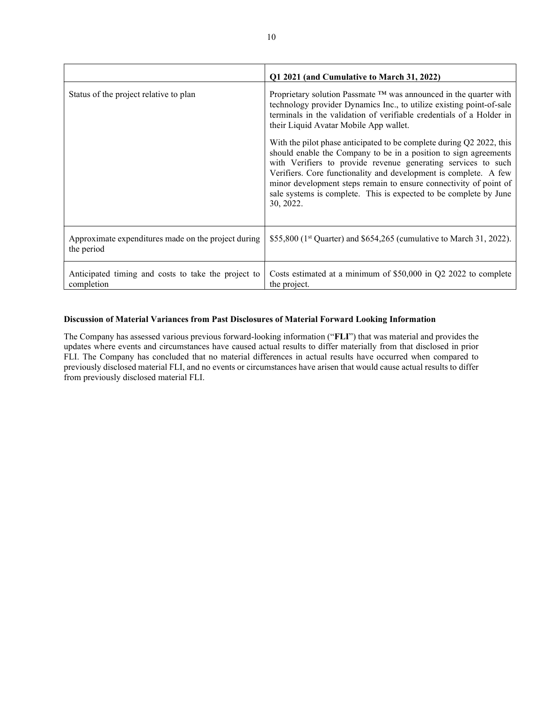|                                                                   | Q1 2021 (and Cumulative to March 31, 2022)                                                                                                                                                                                                                                                                                                                   |  |  |  |  |  |
|-------------------------------------------------------------------|--------------------------------------------------------------------------------------------------------------------------------------------------------------------------------------------------------------------------------------------------------------------------------------------------------------------------------------------------------------|--|--|--|--|--|
| Status of the project relative to plan                            | Proprietary solution Passmate $TM$ was announced in the quarter with<br>technology provider Dynamics Inc., to utilize existing point-of-sale<br>terminals in the validation of verifiable credentials of a Holder in<br>their Liquid Avatar Mobile App wallet.<br>With the pilot phase anticipated to be complete during Q2 2022, this                       |  |  |  |  |  |
|                                                                   | should enable the Company to be in a position to sign agreements<br>with Verifiers to provide revenue generating services to such<br>Verifiers. Core functionality and development is complete. A few<br>minor development steps remain to ensure connectivity of point of<br>sale systems is complete. This is expected to be complete by June<br>30, 2022. |  |  |  |  |  |
| Approximate expenditures made on the project during<br>the period | \$55,800 (1 <sup>st</sup> Quarter) and \$654,265 (cumulative to March 31, 2022).                                                                                                                                                                                                                                                                             |  |  |  |  |  |
| Anticipated timing and costs to take the project to<br>completion | Costs estimated at a minimum of \$50,000 in Q2 2022 to complete<br>the project.                                                                                                                                                                                                                                                                              |  |  |  |  |  |

# Discussion of Material Variances from Past Disclosures of Material Forward Looking Information

The Company has assessed various previous forward-looking information ("FLI") that was material and provides the updates where events and circumstances have caused actual results to differ materially from that disclosed in prior FLI. The Company has concluded that no material differences in actual results have occurred when compared to previously disclosed material FLI, and no events or circumstances have arisen that would cause actual results to differ from previously disclosed material FLI.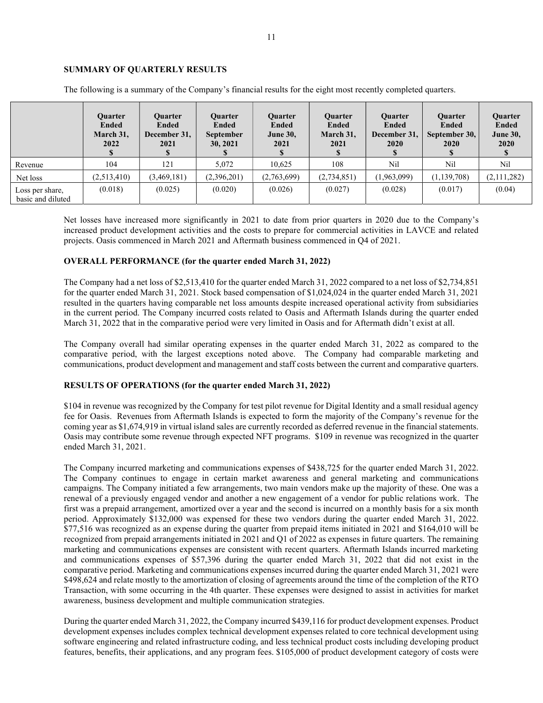# SUMMARY OF QUARTERLY RESULTS

|                                      | <b>Ouarter</b><br><b>Ended</b><br>March 31,<br>2022 | <b>Ouarter</b><br><b>Ended</b><br>December 31,<br>2021<br>D | <b>Ouarter</b><br><b>Ended</b><br><b>September</b><br>30, 2021 | <b>Ouarter</b><br><b>Ended</b><br><b>June 30,</b><br>2021 | <b>Ouarter</b><br>Ended<br>March 31,<br>2021 | <b>Ouarter</b><br><b>Ended</b><br>December 31,<br>2020 | <b>Ouarter</b><br><b>Ended</b><br>September 30,<br>2020 | Quarter<br><b>Ended</b><br><b>June 30,</b><br>2020 |
|--------------------------------------|-----------------------------------------------------|-------------------------------------------------------------|----------------------------------------------------------------|-----------------------------------------------------------|----------------------------------------------|--------------------------------------------------------|---------------------------------------------------------|----------------------------------------------------|
| Revenue                              | 104                                                 | 121                                                         | 5,072                                                          | 10,625                                                    | 108                                          | Nil                                                    | Nil                                                     | Nil                                                |
| Net loss                             | (2,513,410)                                         | (3,469,181)                                                 | (2,396,201)                                                    | (2,763,699)                                               | (2,734,851)                                  | (1,963,099)                                            | (1, 139, 708)                                           | (2,111,282)                                        |
| Loss per share,<br>basic and diluted | (0.018)                                             | (0.025)                                                     | (0.020)                                                        | (0.026)                                                   | (0.027)                                      | (0.028)                                                | (0.017)                                                 | (0.04)                                             |

The following is a summary of the Company's financial results for the eight most recently completed quarters.

Net losses have increased more significantly in 2021 to date from prior quarters in 2020 due to the Company's increased product development activities and the costs to prepare for commercial activities in LAVCE and related projects. Oasis commenced in March 2021 and Aftermath business commenced in Q4 of 2021.

# OVERALL PERFORMANCE (for the quarter ended March 31, 2022)

The Company had a net loss of \$2,513,410 for the quarter ended March 31, 2022 compared to a net loss of \$2,734,851 for the quarter ended March 31, 2021. Stock based compensation of \$1,024,024 in the quarter ended March 31, 2021 resulted in the quarters having comparable net loss amounts despite increased operational activity from subsidiaries in the current period. The Company incurred costs related to Oasis and Aftermath Islands during the quarter ended March 31, 2022 that in the comparative period were very limited in Oasis and for Aftermath didn't exist at all.

The Company overall had similar operating expenses in the quarter ended March 31, 2022 as compared to the comparative period, with the largest exceptions noted above. The Company had comparable marketing and communications, product development and management and staff costs between the current and comparative quarters.

# RESULTS OF OPERATIONS (for the quarter ended March 31, 2022)

\$104 in revenue was recognized by the Company for test pilot revenue for Digital Identity and a small residual agency fee for Oasis. Revenues from Aftermath Islands is expected to form the majority of the Company's revenue for the coming year as \$1,674,919 in virtual island sales are currently recorded as deferred revenue in the financial statements. Oasis may contribute some revenue through expected NFT programs. \$109 in revenue was recognized in the quarter ended March 31, 2021.

The Company incurred marketing and communications expenses of \$438,725 for the quarter ended March 31, 2022. The Company continues to engage in certain market awareness and general marketing and communications campaigns. The Company initiated a few arrangements, two main vendors make up the majority of these. One was a renewal of a previously engaged vendor and another a new engagement of a vendor for public relations work. The first was a prepaid arrangement, amortized over a year and the second is incurred on a monthly basis for a six month period. Approximately \$132,000 was expensed for these two vendors during the quarter ended March 31, 2022. \$77,516 was recognized as an expense during the quarter from prepaid items initiated in 2021 and \$164,010 will be recognized from prepaid arrangements initiated in 2021 and Q1 of 2022 as expenses in future quarters. The remaining marketing and communications expenses are consistent with recent quarters. Aftermath Islands incurred marketing and communications expenses of \$57,396 during the quarter ended March 31, 2022 that did not exist in the comparative period. Marketing and communications expenses incurred during the quarter ended March 31, 2021 were \$498,624 and relate mostly to the amortization of closing of agreements around the time of the completion of the RTO Transaction, with some occurring in the 4th quarter. These expenses were designed to assist in activities for market awareness, business development and multiple communication strategies.

During the quarter ended March 31, 2022, the Company incurred \$439,116 for product development expenses. Product development expenses includes complex technical development expenses related to core technical development using software engineering and related infrastructure coding, and less technical product costs including developing product features, benefits, their applications, and any program fees. \$105,000 of product development category of costs were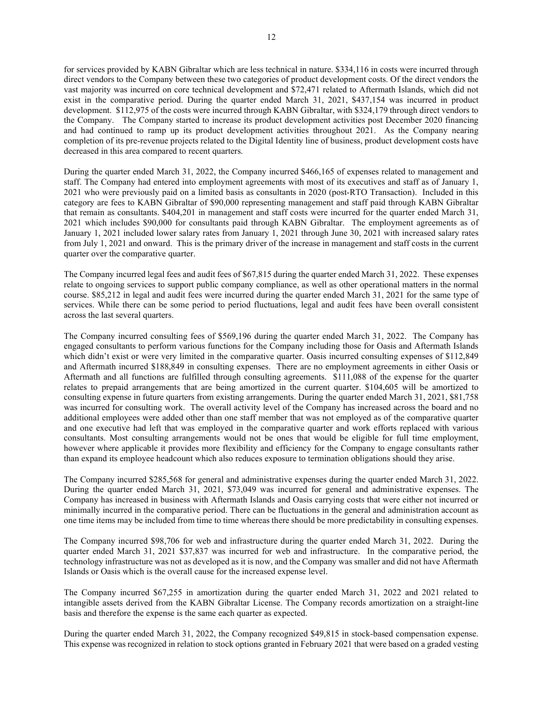for services provided by KABN Gibraltar which are less technical in nature. \$334,116 in costs were incurred through direct vendors to the Company between these two categories of product development costs. Of the direct vendors the vast majority was incurred on core technical development and \$72,471 related to Aftermath Islands, which did not exist in the comparative period. During the quarter ended March 31, 2021, \$437,154 was incurred in product development. \$112,975 of the costs were incurred through KABN Gibraltar, with \$324,179 through direct vendors to the Company. The Company started to increase its product development activities post December 2020 financing and had continued to ramp up its product development activities throughout 2021. As the Company nearing completion of its pre-revenue projects related to the Digital Identity line of business, product development costs have decreased in this area compared to recent quarters.

During the quarter ended March 31, 2022, the Company incurred \$466,165 of expenses related to management and staff. The Company had entered into employment agreements with most of its executives and staff as of January 1, 2021 who were previously paid on a limited basis as consultants in 2020 (post-RTO Transaction). Included in this category are fees to KABN Gibraltar of \$90,000 representing management and staff paid through KABN Gibraltar that remain as consultants. \$404,201 in management and staff costs were incurred for the quarter ended March 31, 2021 which includes \$90,000 for consultants paid through KABN Gibraltar. The employment agreements as of January 1, 2021 included lower salary rates from January 1, 2021 through June 30, 2021 with increased salary rates from July 1, 2021 and onward. This is the primary driver of the increase in management and staff costs in the current quarter over the comparative quarter.

The Company incurred legal fees and audit fees of \$67,815 during the quarter ended March 31, 2022. These expenses relate to ongoing services to support public company compliance, as well as other operational matters in the normal course. \$85,212 in legal and audit fees were incurred during the quarter ended March 31, 2021 for the same type of services. While there can be some period to period fluctuations, legal and audit fees have been overall consistent across the last several quarters.

The Company incurred consulting fees of \$569,196 during the quarter ended March 31, 2022. The Company has engaged consultants to perform various functions for the Company including those for Oasis and Aftermath Islands which didn't exist or were very limited in the comparative quarter. Oasis incurred consulting expenses of \$112,849 and Aftermath incurred \$188,849 in consulting expenses. There are no employment agreements in either Oasis or Aftermath and all functions are fulfilled through consulting agreements. \$111,088 of the expense for the quarter relates to prepaid arrangements that are being amortized in the current quarter. \$104,605 will be amortized to consulting expense in future quarters from existing arrangements. During the quarter ended March 31, 2021, \$81,758 was incurred for consulting work. The overall activity level of the Company has increased across the board and no additional employees were added other than one staff member that was not employed as of the comparative quarter and one executive had left that was employed in the comparative quarter and work efforts replaced with various consultants. Most consulting arrangements would not be ones that would be eligible for full time employment, however where applicable it provides more flexibility and efficiency for the Company to engage consultants rather than expand its employee headcount which also reduces exposure to termination obligations should they arise.

The Company incurred \$285,568 for general and administrative expenses during the quarter ended March 31, 2022. During the quarter ended March 31, 2021, \$73,049 was incurred for general and administrative expenses. The Company has increased in business with Aftermath Islands and Oasis carrying costs that were either not incurred or minimally incurred in the comparative period. There can be fluctuations in the general and administration account as one time items may be included from time to time whereas there should be more predictability in consulting expenses.

The Company incurred \$98,706 for web and infrastructure during the quarter ended March 31, 2022. During the quarter ended March 31, 2021 \$37,837 was incurred for web and infrastructure. In the comparative period, the technology infrastructure was not as developed as it is now, and the Company was smaller and did not have Aftermath Islands or Oasis which is the overall cause for the increased expense level.

The Company incurred \$67,255 in amortization during the quarter ended March 31, 2022 and 2021 related to intangible assets derived from the KABN Gibraltar License. The Company records amortization on a straight-line basis and therefore the expense is the same each quarter as expected.

During the quarter ended March 31, 2022, the Company recognized \$49,815 in stock-based compensation expense. This expense was recognized in relation to stock options granted in February 2021 that were based on a graded vesting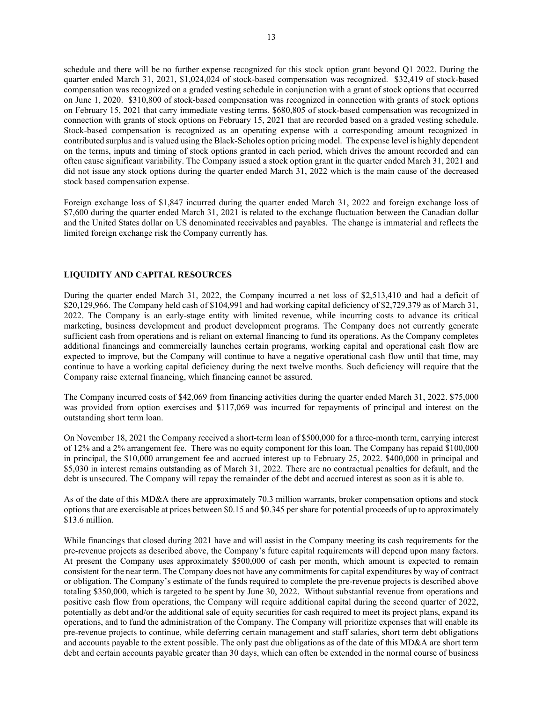schedule and there will be no further expense recognized for this stock option grant beyond Q1 2022. During the quarter ended March 31, 2021, \$1,024,024 of stock-based compensation was recognized. \$32,419 of stock-based compensation was recognized on a graded vesting schedule in conjunction with a grant of stock options that occurred on June 1, 2020. \$310,800 of stock-based compensation was recognized in connection with grants of stock options on February 15, 2021 that carry immediate vesting terms. \$680,805 of stock-based compensation was recognized in connection with grants of stock options on February 15, 2021 that are recorded based on a graded vesting schedule. Stock-based compensation is recognized as an operating expense with a corresponding amount recognized in contributed surplus and is valued using the Black-Scholes option pricing model. The expense level is highly dependent on the terms, inputs and timing of stock options granted in each period, which drives the amount recorded and can often cause significant variability. The Company issued a stock option grant in the quarter ended March 31, 2021 and did not issue any stock options during the quarter ended March 31, 2022 which is the main cause of the decreased stock based compensation expense.

Foreign exchange loss of \$1,847 incurred during the quarter ended March 31, 2022 and foreign exchange loss of \$7,600 during the quarter ended March 31, 2021 is related to the exchange fluctuation between the Canadian dollar and the United States dollar on US denominated receivables and payables. The change is immaterial and reflects the limited foreign exchange risk the Company currently has.

## LIQUIDITY AND CAPITAL RESOURCES

During the quarter ended March 31, 2022, the Company incurred a net loss of \$2,513,410 and had a deficit of \$20,129,966. The Company held cash of \$104,991 and had working capital deficiency of \$2,729,379 as of March 31, 2022. The Company is an early-stage entity with limited revenue, while incurring costs to advance its critical marketing, business development and product development programs. The Company does not currently generate sufficient cash from operations and is reliant on external financing to fund its operations. As the Company completes additional financings and commercially launches certain programs, working capital and operational cash flow are expected to improve, but the Company will continue to have a negative operational cash flow until that time, may continue to have a working capital deficiency during the next twelve months. Such deficiency will require that the Company raise external financing, which financing cannot be assured.

The Company incurred costs of \$42,069 from financing activities during the quarter ended March 31, 2022. \$75,000 was provided from option exercises and \$117,069 was incurred for repayments of principal and interest on the outstanding short term loan.

On November 18, 2021 the Company received a short-term loan of \$500,000 for a three-month term, carrying interest of 12% and a 2% arrangement fee. There was no equity component for this loan. The Company has repaid \$100,000 in principal, the \$10,000 arrangement fee and accrued interest up to February 25, 2022. \$400,000 in principal and \$5,030 in interest remains outstanding as of March 31, 2022. There are no contractual penalties for default, and the debt is unsecured. The Company will repay the remainder of the debt and accrued interest as soon as it is able to.

As of the date of this MD&A there are approximately 70.3 million warrants, broker compensation options and stock options that are exercisable at prices between \$0.15 and \$0.345 per share for potential proceeds of up to approximately \$13.6 million.

While financings that closed during 2021 have and will assist in the Company meeting its cash requirements for the pre-revenue projects as described above, the Company's future capital requirements will depend upon many factors. At present the Company uses approximately \$500,000 of cash per month, which amount is expected to remain consistent for the near term. The Company does not have any commitments for capital expenditures by way of contract or obligation. The Company's estimate of the funds required to complete the pre-revenue projects is described above totaling \$350,000, which is targeted to be spent by June 30, 2022. Without substantial revenue from operations and positive cash flow from operations, the Company will require additional capital during the second quarter of 2022, potentially as debt and/or the additional sale of equity securities for cash required to meet its project plans, expand its operations, and to fund the administration of the Company. The Company will prioritize expenses that will enable its pre-revenue projects to continue, while deferring certain management and staff salaries, short term debt obligations and accounts payable to the extent possible. The only past due obligations as of the date of this MD&A are short term debt and certain accounts payable greater than 30 days, which can often be extended in the normal course of business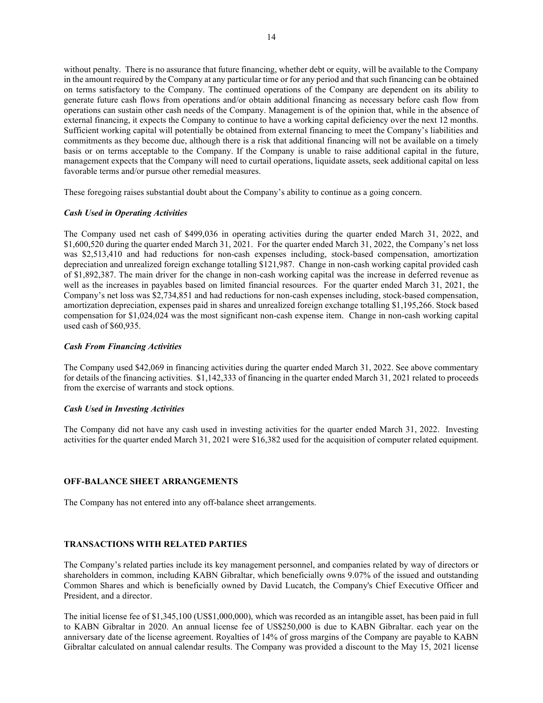without penalty. There is no assurance that future financing, whether debt or equity, will be available to the Company in the amount required by the Company at any particular time or for any period and that such financing can be obtained on terms satisfactory to the Company. The continued operations of the Company are dependent on its ability to generate future cash flows from operations and/or obtain additional financing as necessary before cash flow from operations can sustain other cash needs of the Company. Management is of the opinion that, while in the absence of external financing, it expects the Company to continue to have a working capital deficiency over the next 12 months. Sufficient working capital will potentially be obtained from external financing to meet the Company's liabilities and commitments as they become due, although there is a risk that additional financing will not be available on a timely basis or on terms acceptable to the Company. If the Company is unable to raise additional capital in the future, management expects that the Company will need to curtail operations, liquidate assets, seek additional capital on less favorable terms and/or pursue other remedial measures.

These foregoing raises substantial doubt about the Company's ability to continue as a going concern.

#### Cash Used in Operating Activities

The Company used net cash of \$499,036 in operating activities during the quarter ended March 31, 2022, and \$1,600,520 during the quarter ended March 31, 2021. For the quarter ended March 31, 2022, the Company's net loss was \$2,513,410 and had reductions for non-cash expenses including, stock-based compensation, amortization depreciation and unrealized foreign exchange totalling \$121,987. Change in non-cash working capital provided cash of \$1,892,387. The main driver for the change in non-cash working capital was the increase in deferred revenue as well as the increases in payables based on limited financial resources. For the quarter ended March 31, 2021, the Company's net loss was \$2,734,851 and had reductions for non-cash expenses including, stock-based compensation, amortization depreciation, expenses paid in shares and unrealized foreign exchange totalling \$1,195,266. Stock based compensation for \$1,024,024 was the most significant non-cash expense item. Change in non-cash working capital used cash of \$60,935.

#### Cash From Financing Activities

The Company used \$42,069 in financing activities during the quarter ended March 31, 2022. See above commentary for details of the financing activities. \$1,142,333 of financing in the quarter ended March 31, 2021 related to proceeds from the exercise of warrants and stock options.

#### Cash Used in Investing Activities

The Company did not have any cash used in investing activities for the quarter ended March 31, 2022. Investing activities for the quarter ended March 31, 2021 were \$16,382 used for the acquisition of computer related equipment.

#### OFF-BALANCE SHEET ARRANGEMENTS

The Company has not entered into any off-balance sheet arrangements.

#### TRANSACTIONS WITH RELATED PARTIES

The Company's related parties include its key management personnel, and companies related by way of directors or shareholders in common, including KABN Gibraltar, which beneficially owns 9.07% of the issued and outstanding Common Shares and which is beneficially owned by David Lucatch, the Company's Chief Executive Officer and President, and a director.

The initial license fee of \$1,345,100 (US\$1,000,000), which was recorded as an intangible asset, has been paid in full to KABN Gibraltar in 2020. An annual license fee of US\$250,000 is due to KABN Gibraltar. each year on the anniversary date of the license agreement. Royalties of 14% of gross margins of the Company are payable to KABN Gibraltar calculated on annual calendar results. The Company was provided a discount to the May 15, 2021 license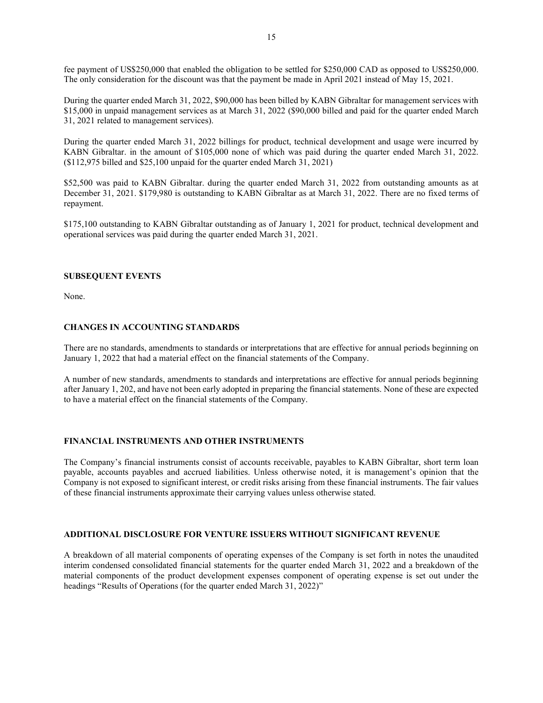fee payment of US\$250,000 that enabled the obligation to be settled for \$250,000 CAD as opposed to US\$250,000. The only consideration for the discount was that the payment be made in April 2021 instead of May 15, 2021.

During the quarter ended March 31, 2022, \$90,000 has been billed by KABN Gibraltar for management services with \$15,000 in unpaid management services as at March 31, 2022 (\$90,000 billed and paid for the quarter ended March 31, 2021 related to management services).

During the quarter ended March 31, 2022 billings for product, technical development and usage were incurred by KABN Gibraltar. in the amount of \$105,000 none of which was paid during the quarter ended March 31, 2022. (\$112,975 billed and \$25,100 unpaid for the quarter ended March 31, 2021)

\$52,500 was paid to KABN Gibraltar. during the quarter ended March 31, 2022 from outstanding amounts as at December 31, 2021. \$179,980 is outstanding to KABN Gibraltar as at March 31, 2022. There are no fixed terms of repayment.

\$175,100 outstanding to KABN Gibraltar outstanding as of January 1, 2021 for product, technical development and operational services was paid during the quarter ended March 31, 2021.

## SUBSEQUENT EVENTS

None.

# CHANGES IN ACCOUNTING STANDARDS

There are no standards, amendments to standards or interpretations that are effective for annual periods beginning on January 1, 2022 that had a material effect on the financial statements of the Company.

A number of new standards, amendments to standards and interpretations are effective for annual periods beginning after January 1, 202, and have not been early adopted in preparing the financial statements. None of these are expected to have a material effect on the financial statements of the Company.

# FINANCIAL INSTRUMENTS AND OTHER INSTRUMENTS

The Company's financial instruments consist of accounts receivable, payables to KABN Gibraltar, short term loan payable, accounts payables and accrued liabilities. Unless otherwise noted, it is management's opinion that the Company is not exposed to significant interest, or credit risks arising from these financial instruments. The fair values of these financial instruments approximate their carrying values unless otherwise stated.

## ADDITIONAL DISCLOSURE FOR VENTURE ISSUERS WITHOUT SIGNIFICANT REVENUE

A breakdown of all material components of operating expenses of the Company is set forth in notes the unaudited interim condensed consolidated financial statements for the quarter ended March 31, 2022 and a breakdown of the material components of the product development expenses component of operating expense is set out under the headings "Results of Operations (for the quarter ended March 31, 2022)"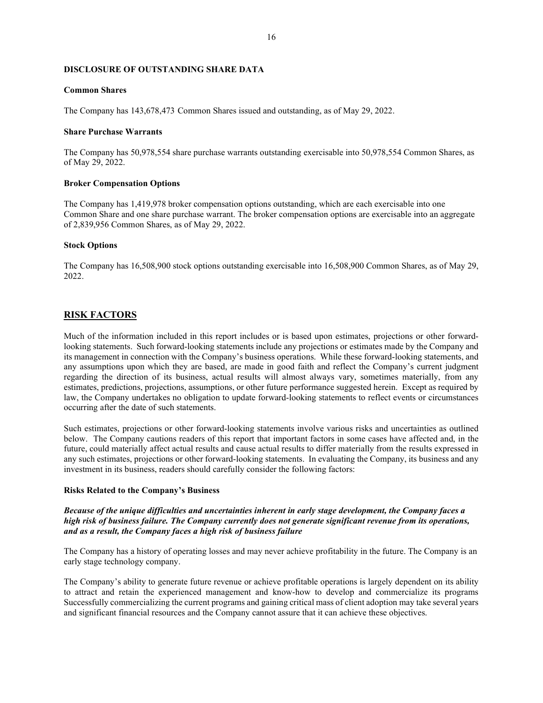## DISCLOSURE OF OUTSTANDING SHARE DATA

#### Common Shares

The Company has 143,678,473 Common Shares issued and outstanding, as of May 29, 2022.

## Share Purchase Warrants

The Company has 50,978,554 share purchase warrants outstanding exercisable into 50,978,554 Common Shares, as of May 29, 2022.

#### Broker Compensation Options

The Company has 1,419,978 broker compensation options outstanding, which are each exercisable into one Common Share and one share purchase warrant. The broker compensation options are exercisable into an aggregate of 2,839,956 Common Shares, as of May 29, 2022.

#### Stock Options

The Company has 16,508,900 stock options outstanding exercisable into 16,508,900 Common Shares, as of May 29, 2022.

# RISK FACTORS

Much of the information included in this report includes or is based upon estimates, projections or other forwardlooking statements. Such forward-looking statements include any projections or estimates made by the Company and its management in connection with the Company's business operations. While these forward-looking statements, and any assumptions upon which they are based, are made in good faith and reflect the Company's current judgment regarding the direction of its business, actual results will almost always vary, sometimes materially, from any estimates, predictions, projections, assumptions, or other future performance suggested herein. Except as required by law, the Company undertakes no obligation to update forward-looking statements to reflect events or circumstances occurring after the date of such statements.

Such estimates, projections or other forward-looking statements involve various risks and uncertainties as outlined below. The Company cautions readers of this report that important factors in some cases have affected and, in the future, could materially affect actual results and cause actual results to differ materially from the results expressed in any such estimates, projections or other forward-looking statements. In evaluating the Company, its business and any investment in its business, readers should carefully consider the following factors:

#### Risks Related to the Company's Business

Because of the unique difficulties and uncertainties inherent in early stage development, the Company faces a high risk of business failure. The Company currently does not generate significant revenue from its operations, and as a result, the Company faces a high risk of business failure

The Company has a history of operating losses and may never achieve profitability in the future. The Company is an early stage technology company.

The Company's ability to generate future revenue or achieve profitable operations is largely dependent on its ability to attract and retain the experienced management and know-how to develop and commercialize its programs Successfully commercializing the current programs and gaining critical mass of client adoption may take several years and significant financial resources and the Company cannot assure that it can achieve these objectives.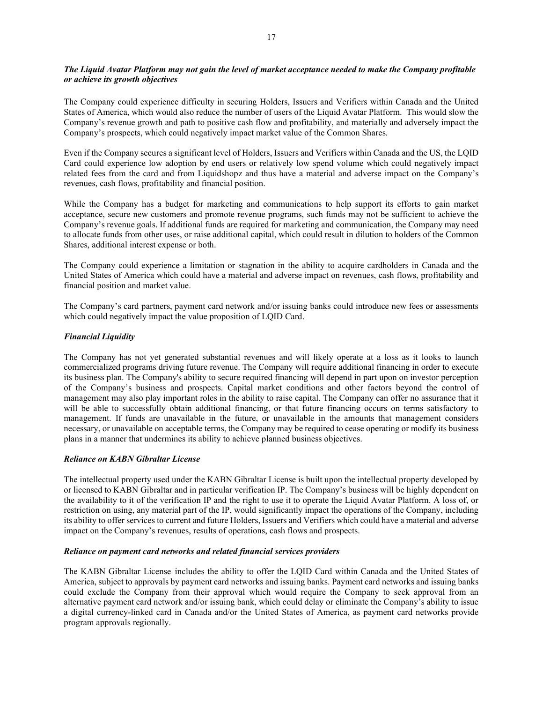# The Liquid Avatar Platform may not gain the level of market acceptance needed to make the Company profitable or achieve its growth objectives

The Company could experience difficulty in securing Holders, Issuers and Verifiers within Canada and the United States of America, which would also reduce the number of users of the Liquid Avatar Platform. This would slow the Company's revenue growth and path to positive cash flow and profitability, and materially and adversely impact the Company's prospects, which could negatively impact market value of the Common Shares.

Even if the Company secures a significant level of Holders, Issuers and Verifiers within Canada and the US, the LQID Card could experience low adoption by end users or relatively low spend volume which could negatively impact related fees from the card and from Liquidshopz and thus have a material and adverse impact on the Company's revenues, cash flows, profitability and financial position.

While the Company has a budget for marketing and communications to help support its efforts to gain market acceptance, secure new customers and promote revenue programs, such funds may not be sufficient to achieve the Company's revenue goals. If additional funds are required for marketing and communication, the Company may need to allocate funds from other uses, or raise additional capital, which could result in dilution to holders of the Common Shares, additional interest expense or both.

The Company could experience a limitation or stagnation in the ability to acquire cardholders in Canada and the United States of America which could have a material and adverse impact on revenues, cash flows, profitability and financial position and market value.

The Company's card partners, payment card network and/or issuing banks could introduce new fees or assessments which could negatively impact the value proposition of LQID Card.

# Financial Liquidity

The Company has not yet generated substantial revenues and will likely operate at a loss as it looks to launch commercialized programs driving future revenue. The Company will require additional financing in order to execute its business plan. The Company's ability to secure required financing will depend in part upon on investor perception of the Company's business and prospects. Capital market conditions and other factors beyond the control of management may also play important roles in the ability to raise capital. The Company can offer no assurance that it will be able to successfully obtain additional financing, or that future financing occurs on terms satisfactory to management. If funds are unavailable in the future, or unavailable in the amounts that management considers necessary, or unavailable on acceptable terms, the Company may be required to cease operating or modify its business plans in a manner that undermines its ability to achieve planned business objectives.

# Reliance on KABN Gibraltar License

The intellectual property used under the KABN Gibraltar License is built upon the intellectual property developed by or licensed to KABN Gibraltar and in particular verification IP. The Company's business will be highly dependent on the availability to it of the verification IP and the right to use it to operate the Liquid Avatar Platform. A loss of, or restriction on using, any material part of the IP, would significantly impact the operations of the Company, including its ability to offer services to current and future Holders, Issuers and Verifiers which could have a material and adverse impact on the Company's revenues, results of operations, cash flows and prospects.

# Reliance on payment card networks and related financial services providers

The KABN Gibraltar License includes the ability to offer the LQID Card within Canada and the United States of America, subject to approvals by payment card networks and issuing banks. Payment card networks and issuing banks could exclude the Company from their approval which would require the Company to seek approval from an alternative payment card network and/or issuing bank, which could delay or eliminate the Company's ability to issue a digital currency-linked card in Canada and/or the United States of America, as payment card networks provide program approvals regionally.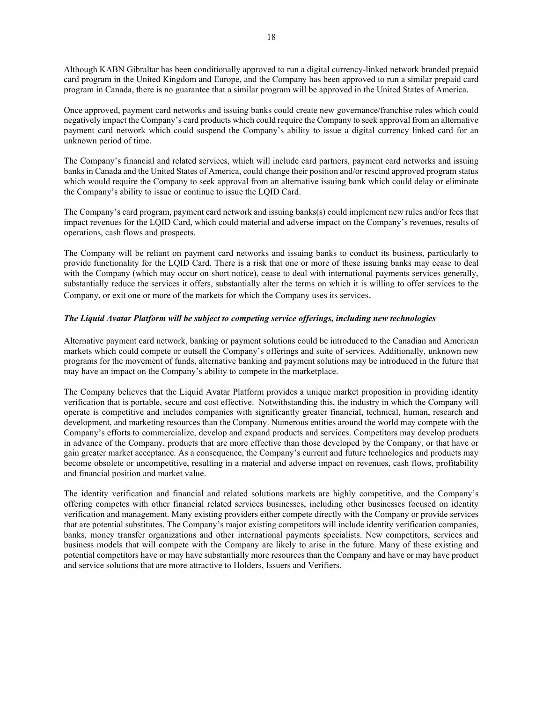Although KABN Gibraltar has been conditionally approved to run a digital currency-linked network branded prepaid card program in the United Kingdom and Europe, and the Company has been approved to run a similar prepaid card program in Canada, there is no guarantee that a similar program will be approved in the United States of America.

Once approved, payment card networks and issuing banks could create new governance/franchise rules which could negatively impact the Company's card products which could require the Company to seek approval from an alternative payment card network which could suspend the Company's ability to issue a digital currency linked card for an unknown period of time.

The Company's financial and related services, which will include card partners, payment card networks and issuing banks in Canada and the United States of America, could change their position and/or rescind approved program status which would require the Company to seek approval from an alternative issuing bank which could delay or eliminate the Company's ability to issue or continue to issue the LQID Card.

The Company's card program, payment card network and issuing banks(s) could implement new rules and/or fees that impact revenues for the LQID Card, which could material and adverse impact on the Company's revenues, results of operations, cash flows and prospects.

The Company will be reliant on payment card networks and issuing banks to conduct its business, particularly to provide functionality for the LQID Card. There is a risk that one or more of these issuing banks may cease to deal with the Company (which may occur on short notice), cease to deal with international payments services generally, substantially reduce the services it offers, substantially alter the terms on which it is willing to offer services to the Company, or exit one or more of the markets for which the Company uses its services.

# The Liquid Avatar Platform will be subject to competing service offerings, including new technologies

Alternative payment card network, banking or payment solutions could be introduced to the Canadian and American markets which could compete or outsell the Company's offerings and suite of services. Additionally, unknown new programs for the movement of funds, alternative banking and payment solutions may be introduced in the future that may have an impact on the Company's ability to compete in the marketplace.

The Company believes that the Liquid Avatar Platform provides a unique market proposition in providing identity verification that is portable, secure and cost effective. Notwithstanding this, the industry in which the Company will operate is competitive and includes companies with significantly greater financial, technical, human, research and development, and marketing resources than the Company. Numerous entities around the world may compete with the Company's efforts to commercialize, develop and expand products and services. Competitors may develop products in advance of the Company, products that are more effective than those developed by the Company, or that have or gain greater market acceptance. As a consequence, the Company's current and future technologies and products may become obsolete or uncompetitive, resulting in a material and adverse impact on revenues, cash flows, profitability and financial position and market value.

The identity verification and financial and related solutions markets are highly competitive, and the Company's offering competes with other financial related services businesses, including other businesses focused on identity verification and management. Many existing providers either compete directly with the Company or provide services that are potential substitutes. The Company's major existing competitors will include identity verification companies, banks, money transfer organizations and other international payments specialists. New competitors, services and business models that will compete with the Company are likely to arise in the future. Many of these existing and potential competitors have or may have substantially more resources than the Company and have or may have product and service solutions that are more attractive to Holders, Issuers and Verifiers.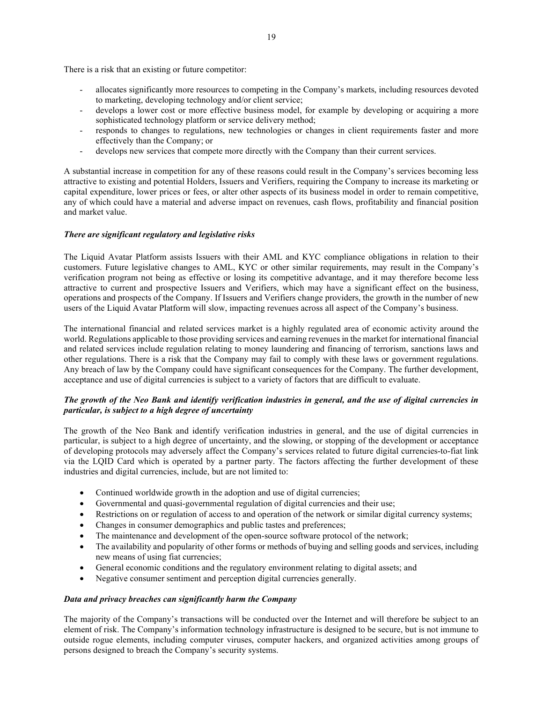There is a risk that an existing or future competitor:

- allocates significantly more resources to competing in the Company's markets, including resources devoted to marketing, developing technology and/or client service;
- develops a lower cost or more effective business model, for example by developing or acquiring a more sophisticated technology platform or service delivery method;
- responds to changes to regulations, new technologies or changes in client requirements faster and more effectively than the Company; or
- develops new services that compete more directly with the Company than their current services.

A substantial increase in competition for any of these reasons could result in the Company's services becoming less attractive to existing and potential Holders, Issuers and Verifiers, requiring the Company to increase its marketing or capital expenditure, lower prices or fees, or alter other aspects of its business model in order to remain competitive, any of which could have a material and adverse impact on revenues, cash flows, profitability and financial position and market value.

# There are significant regulatory and legislative risks

The Liquid Avatar Platform assists Issuers with their AML and KYC compliance obligations in relation to their customers. Future legislative changes to AML, KYC or other similar requirements, may result in the Company's verification program not being as effective or losing its competitive advantage, and it may therefore become less attractive to current and prospective Issuers and Verifiers, which may have a significant effect on the business, operations and prospects of the Company. If Issuers and Verifiers change providers, the growth in the number of new users of the Liquid Avatar Platform will slow, impacting revenues across all aspect of the Company's business.

The international financial and related services market is a highly regulated area of economic activity around the world. Regulations applicable to those providing services and earning revenues in the market for international financial and related services include regulation relating to money laundering and financing of terrorism, sanctions laws and other regulations. There is a risk that the Company may fail to comply with these laws or government regulations. Any breach of law by the Company could have significant consequences for the Company. The further development, acceptance and use of digital currencies is subject to a variety of factors that are difficult to evaluate.

# The growth of the Neo Bank and identify verification industries in general, and the use of digital currencies in particular, is subject to a high degree of uncertainty

The growth of the Neo Bank and identify verification industries in general, and the use of digital currencies in particular, is subject to a high degree of uncertainty, and the slowing, or stopping of the development or acceptance of developing protocols may adversely affect the Company's services related to future digital currencies-to-fiat link via the LQID Card which is operated by a partner party. The factors affecting the further development of these industries and digital currencies, include, but are not limited to:

- Continued worldwide growth in the adoption and use of digital currencies;
- Governmental and quasi-governmental regulation of digital currencies and their use;
- Restrictions on or regulation of access to and operation of the network or similar digital currency systems;
- Changes in consumer demographics and public tastes and preferences;
- The maintenance and development of the open-source software protocol of the network;
- The availability and popularity of other forms or methods of buying and selling goods and services, including new means of using fiat currencies;
- General economic conditions and the regulatory environment relating to digital assets; and
- Negative consumer sentiment and perception digital currencies generally.

## Data and privacy breaches can significantly harm the Company

The majority of the Company's transactions will be conducted over the Internet and will therefore be subject to an element of risk. The Company's information technology infrastructure is designed to be secure, but is not immune to outside rogue elements, including computer viruses, computer hackers, and organized activities among groups of persons designed to breach the Company's security systems.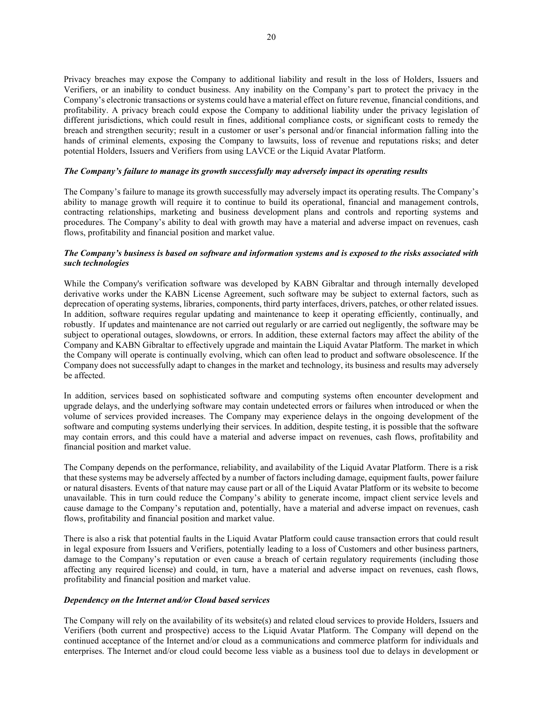Privacy breaches may expose the Company to additional liability and result in the loss of Holders, Issuers and Verifiers, or an inability to conduct business. Any inability on the Company's part to protect the privacy in the Company's electronic transactions or systems could have a material effect on future revenue, financial conditions, and profitability. A privacy breach could expose the Company to additional liability under the privacy legislation of different jurisdictions, which could result in fines, additional compliance costs, or significant costs to remedy the breach and strengthen security; result in a customer or user's personal and/or financial information falling into the hands of criminal elements, exposing the Company to lawsuits, loss of revenue and reputations risks; and deter potential Holders, Issuers and Verifiers from using LAVCE or the Liquid Avatar Platform.

## The Company's failure to manage its growth successfully may adversely impact its operating results

The Company's failure to manage its growth successfully may adversely impact its operating results. The Company's ability to manage growth will require it to continue to build its operational, financial and management controls, contracting relationships, marketing and business development plans and controls and reporting systems and procedures. The Company's ability to deal with growth may have a material and adverse impact on revenues, cash flows, profitability and financial position and market value.

# The Company's business is based on software and information systems and is exposed to the risks associated with such technologies

While the Company's verification software was developed by KABN Gibraltar and through internally developed derivative works under the KABN License Agreement, such software may be subject to external factors, such as deprecation of operating systems, libraries, components, third party interfaces, drivers, patches, or other related issues. In addition, software requires regular updating and maintenance to keep it operating efficiently, continually, and robustly. If updates and maintenance are not carried out regularly or are carried out negligently, the software may be subject to operational outages, slowdowns, or errors. In addition, these external factors may affect the ability of the Company and KABN Gibraltar to effectively upgrade and maintain the Liquid Avatar Platform. The market in which the Company will operate is continually evolving, which can often lead to product and software obsolescence. If the Company does not successfully adapt to changes in the market and technology, its business and results may adversely be affected.

In addition, services based on sophisticated software and computing systems often encounter development and upgrade delays, and the underlying software may contain undetected errors or failures when introduced or when the volume of services provided increases. The Company may experience delays in the ongoing development of the software and computing systems underlying their services. In addition, despite testing, it is possible that the software may contain errors, and this could have a material and adverse impact on revenues, cash flows, profitability and financial position and market value.

The Company depends on the performance, reliability, and availability of the Liquid Avatar Platform. There is a risk that these systems may be adversely affected by a number of factors including damage, equipment faults, power failure or natural disasters. Events of that nature may cause part or all of the Liquid Avatar Platform or its website to become unavailable. This in turn could reduce the Company's ability to generate income, impact client service levels and cause damage to the Company's reputation and, potentially, have a material and adverse impact on revenues, cash flows, profitability and financial position and market value.

There is also a risk that potential faults in the Liquid Avatar Platform could cause transaction errors that could result in legal exposure from Issuers and Verifiers, potentially leading to a loss of Customers and other business partners, damage to the Company's reputation or even cause a breach of certain regulatory requirements (including those affecting any required license) and could, in turn, have a material and adverse impact on revenues, cash flows, profitability and financial position and market value.

## Dependency on the Internet and/or Cloud based services

The Company will rely on the availability of its website(s) and related cloud services to provide Holders, Issuers and Verifiers (both current and prospective) access to the Liquid Avatar Platform. The Company will depend on the continued acceptance of the Internet and/or cloud as a communications and commerce platform for individuals and enterprises. The Internet and/or cloud could become less viable as a business tool due to delays in development or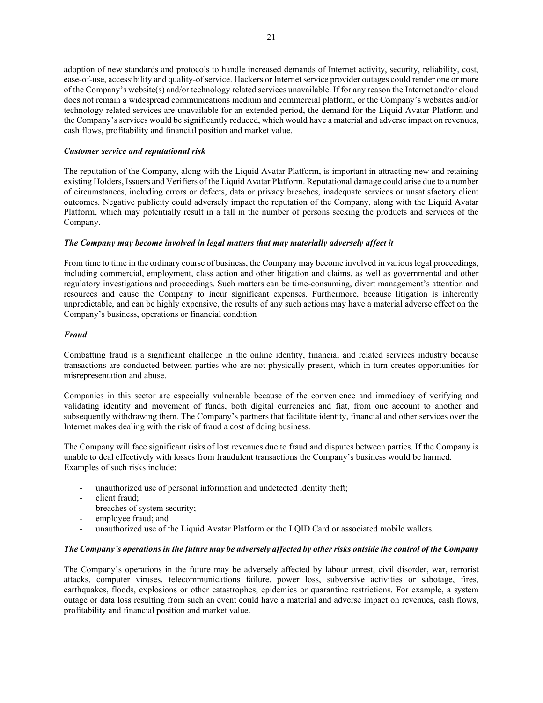adoption of new standards and protocols to handle increased demands of Internet activity, security, reliability, cost, ease-of-use, accessibility and quality-of service. Hackers or Internet service provider outages could render one or more of the Company's website(s) and/or technology related services unavailable. If for any reason the Internet and/or cloud does not remain a widespread communications medium and commercial platform, or the Company's websites and/or technology related services are unavailable for an extended period, the demand for the Liquid Avatar Platform and the Company's services would be significantly reduced, which would have a material and adverse impact on revenues, cash flows, profitability and financial position and market value.

# Customer service and reputational risk

The reputation of the Company, along with the Liquid Avatar Platform, is important in attracting new and retaining existing Holders, Issuers and Verifiers of the Liquid Avatar Platform. Reputational damage could arise due to a number of circumstances, including errors or defects, data or privacy breaches, inadequate services or unsatisfactory client outcomes. Negative publicity could adversely impact the reputation of the Company, along with the Liquid Avatar Platform, which may potentially result in a fall in the number of persons seeking the products and services of the Company.

# The Company may become involved in legal matters that may materially adversely affect it

From time to time in the ordinary course of business, the Company may become involved in various legal proceedings, including commercial, employment, class action and other litigation and claims, as well as governmental and other regulatory investigations and proceedings. Such matters can be time‐consuming, divert management's attention and resources and cause the Company to incur significant expenses. Furthermore, because litigation is inherently unpredictable, and can be highly expensive, the results of any such actions may have a material adverse effect on the Company's business, operations or financial condition

# Fraud

Combatting fraud is a significant challenge in the online identity, financial and related services industry because transactions are conducted between parties who are not physically present, which in turn creates opportunities for misrepresentation and abuse.

Companies in this sector are especially vulnerable because of the convenience and immediacy of verifying and validating identity and movement of funds, both digital currencies and fiat, from one account to another and subsequently withdrawing them. The Company's partners that facilitate identity, financial and other services over the Internet makes dealing with the risk of fraud a cost of doing business.

The Company will face significant risks of lost revenues due to fraud and disputes between parties. If the Company is unable to deal effectively with losses from fraudulent transactions the Company's business would be harmed. Examples of such risks include:

- unauthorized use of personal information and undetected identity theft;
- client fraud;
- breaches of system security;
- employee fraud; and
- unauthorized use of the Liquid Avatar Platform or the LQID Card or associated mobile wallets.

# The Company's operations in the future may be adversely affected by other risks outside the control of the Company

The Company's operations in the future may be adversely affected by labour unrest, civil disorder, war, terrorist attacks, computer viruses, telecommunications failure, power loss, subversive activities or sabotage, fires, earthquakes, floods, explosions or other catastrophes, epidemics or quarantine restrictions. For example, a system outage or data loss resulting from such an event could have a material and adverse impact on revenues, cash flows, profitability and financial position and market value.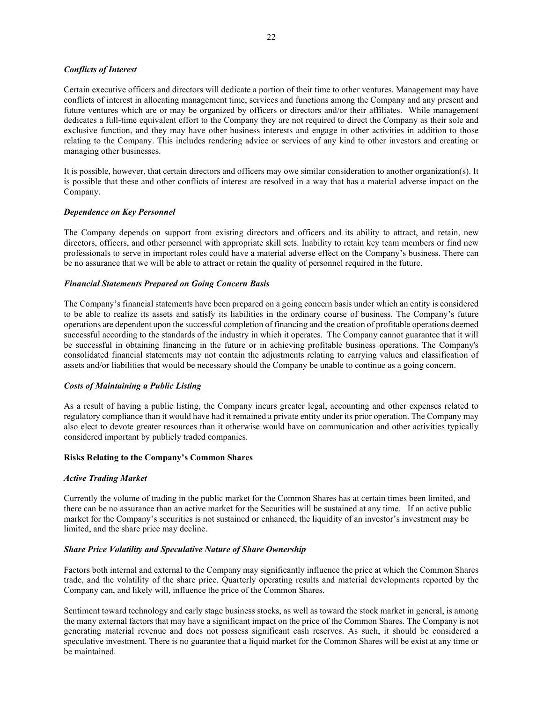## Conflicts of Interest

Certain executive officers and directors will dedicate a portion of their time to other ventures. Management may have conflicts of interest in allocating management time, services and functions among the Company and any present and future ventures which are or may be organized by officers or directors and/or their affiliates. While management dedicates a full-time equivalent effort to the Company they are not required to direct the Company as their sole and exclusive function, and they may have other business interests and engage in other activities in addition to those relating to the Company. This includes rendering advice or services of any kind to other investors and creating or managing other businesses.

It is possible, however, that certain directors and officers may owe similar consideration to another organization(s). It is possible that these and other conflicts of interest are resolved in a way that has a material adverse impact on the Company.

## Dependence on Key Personnel

The Company depends on support from existing directors and officers and its ability to attract, and retain, new directors, officers, and other personnel with appropriate skill sets. Inability to retain key team members or find new professionals to serve in important roles could have a material adverse effect on the Company's business. There can be no assurance that we will be able to attract or retain the quality of personnel required in the future.

## Financial Statements Prepared on Going Concern Basis

The Company's financial statements have been prepared on a going concern basis under which an entity is considered to be able to realize its assets and satisfy its liabilities in the ordinary course of business. The Company's future operations are dependent upon the successful completion of financing and the creation of profitable operations deemed successful according to the standards of the industry in which it operates. The Company cannot guarantee that it will be successful in obtaining financing in the future or in achieving profitable business operations. The Company's consolidated financial statements may not contain the adjustments relating to carrying values and classification of assets and/or liabilities that would be necessary should the Company be unable to continue as a going concern.

## Costs of Maintaining a Public Listing

As a result of having a public listing, the Company incurs greater legal, accounting and other expenses related to regulatory compliance than it would have had it remained a private entity under its prior operation. The Company may also elect to devote greater resources than it otherwise would have on communication and other activities typically considered important by publicly traded companies.

#### Risks Relating to the Company's Common Shares

#### Active Trading Market

Currently the volume of trading in the public market for the Common Shares has at certain times been limited, and there can be no assurance than an active market for the Securities will be sustained at any time. If an active public market for the Company's securities is not sustained or enhanced, the liquidity of an investor's investment may be limited, and the share price may decline.

#### Share Price Volatility and Speculative Nature of Share Ownership

Factors both internal and external to the Company may significantly influence the price at which the Common Shares trade, and the volatility of the share price. Quarterly operating results and material developments reported by the Company can, and likely will, influence the price of the Common Shares.

Sentiment toward technology and early stage business stocks, as well as toward the stock market in general, is among the many external factors that may have a significant impact on the price of the Common Shares. The Company is not generating material revenue and does not possess significant cash reserves. As such, it should be considered a speculative investment. There is no guarantee that a liquid market for the Common Shares will be exist at any time or be maintained.